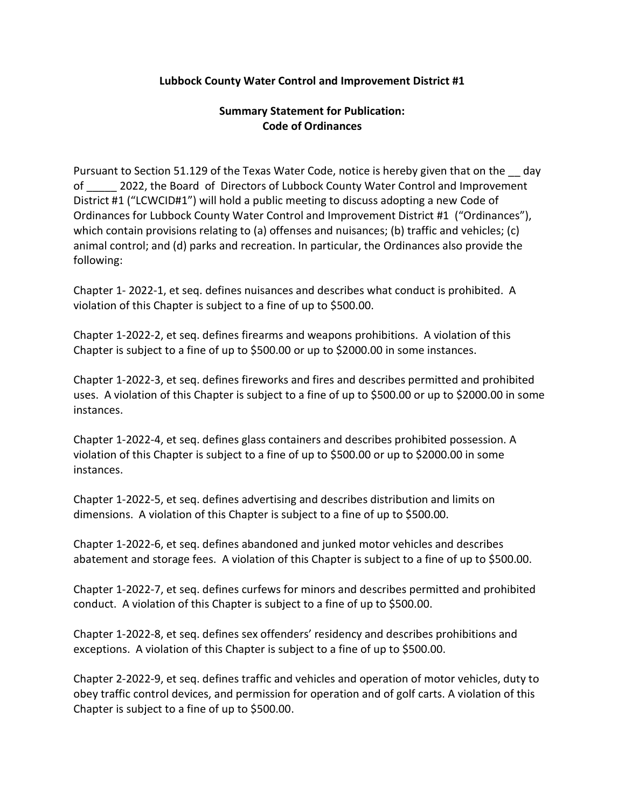## Lubbock County Water Control and Improvement District #1

## Summary Statement for Publication: Code of Ordinances

Pursuant to Section 51.129 of the Texas Water Code, notice is hereby given that on the  $\_\,$  day of \_\_\_\_\_ 2022, the Board of Directors of Lubbock County Water Control and Improvement District #1 ("LCWCID#1") will hold a public meeting to discuss adopting a new Code of Ordinances for Lubbock County Water Control and Improvement District #1 ("Ordinances"), which contain provisions relating to (a) offenses and nuisances; (b) traffic and vehicles; (c) animal control; and (d) parks and recreation. In particular, the Ordinances also provide the following:

Chapter 1- 2022-1, et seq. defines nuisances and describes what conduct is prohibited. A violation of this Chapter is subject to a fine of up to \$500.00.

Chapter 1-2022-2, et seq. defines firearms and weapons prohibitions. A violation of this Chapter is subject to a fine of up to \$500.00 or up to \$2000.00 in some instances.

Chapter 1-2022-3, et seq. defines fireworks and fires and describes permitted and prohibited uses. A violation of this Chapter is subject to a fine of up to \$500.00 or up to \$2000.00 in some instances.

Chapter 1-2022-4, et seq. defines glass containers and describes prohibited possession. A violation of this Chapter is subject to a fine of up to \$500.00 or up to \$2000.00 in some instances.

Chapter 1-2022-5, et seq. defines advertising and describes distribution and limits on dimensions. A violation of this Chapter is subject to a fine of up to \$500.00.

Chapter 1-2022-6, et seq. defines abandoned and junked motor vehicles and describes abatement and storage fees. A violation of this Chapter is subject to a fine of up to \$500.00.

Chapter 1-2022-7, et seq. defines curfews for minors and describes permitted and prohibited conduct. A violation of this Chapter is subject to a fine of up to \$500.00.

Chapter 1-2022-8, et seq. defines sex offenders' residency and describes prohibitions and exceptions. A violation of this Chapter is subject to a fine of up to \$500.00.

Chapter 2-2022-9, et seq. defines traffic and vehicles and operation of motor vehicles, duty to obey traffic control devices, and permission for operation and of golf carts. A violation of this Chapter is subject to a fine of up to \$500.00.